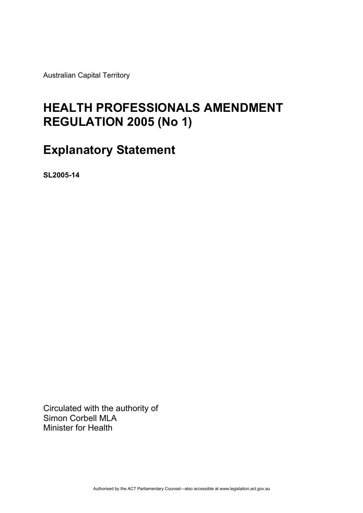Australian Capital Territory

# **HEALTH PROFESSIONALS AMENDMENT REGULATION 2005 (No 1)**

## **Explanatory Statement**

**SL2005-14** 

Circulated with the authority of Simon Corbell MLA Minister for Health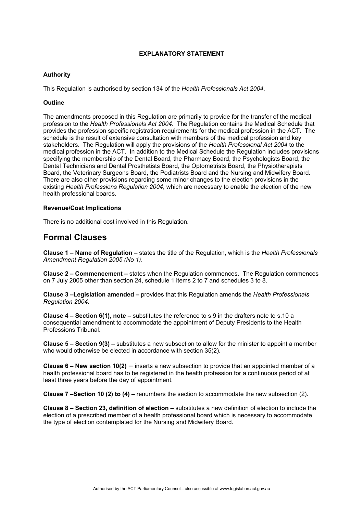#### **EXPLANATORY STATEMENT**

#### **Authority**

This Regulation is authorised by section 134 of the *Health Professionals Act 2004*.

#### **Outline**

The amendments proposed in this Regulation are primarily to provide for the transfer of the medical profession to the *Health Professionals Act 2004*. The Regulation contains the Medical Schedule that provides the profession specific registration requirements for the medical profession in the ACT. The schedule is the result of extensive consultation with members of the medical profession and key stakeholders. The Regulation will apply the provisions of the *Health Professional Act 2004* to the medical profession in the ACT. In addition to the Medical Schedule the Regulation includes provisions specifying the membership of the Dental Board, the Pharmacy Board, the Psychologists Board, the Dental Technicians and Dental Prosthetists Board, the Optometrists Board, the Physiotherapists Board, the Veterinary Surgeons Board, the Podiatrists Board and the Nursing and Midwifery Board. There are also other provisions regarding some minor changes to the election provisions in the existing *Health Professions Regulation 2004*, which are necessary to enable the election of the new health professional boards.

#### **Revenue/Cost Implications**

There is no additional cost involved in this Regulation.

### **Formal Clauses**

**Clause 1 – Name of Regulation –** states the title of the Regulation, which is the *Health Professionals Amendment Regulation 2005 (No 1)*.

**Clause 2 – Commencement –** states when the Regulation commences. The Regulation commences on 7 July 2005 other than section 24, schedule 1 items 2 to 7 and schedules 3 to 8.

**Clause 3 –Legislation amended –** provides that this Regulation amends the *Health Professionals Regulation 2004*.

**Clause 4 – Section 6(1), note –** substitutes the reference to s.9 in the drafters note to s.10 a consequential amendment to accommodate the appointment of Deputy Presidents to the Health Professions Tribunal.

**Clause 5 – Section 9(3) –** substitutes a new subsection to allow for the minister to appoint a member who would otherwise be elected in accordance with section 35(2).

**Clause 6 – New section 10(2)** – inserts a new subsection to provide that an appointed member of a health professional board has to be registered in the health profession for a continuous period of at least three years before the day of appointment.

**Clause 7 –Section 10 (2) to (4) –** renumbers the section to accommodate the new subsection (2).

**Clause 8 – Section 23, definition of election –** substitutes a new definition of election to include the election of a prescribed member of a health professional board which is necessary to accommodate the type of election contemplated for the Nursing and Midwifery Board.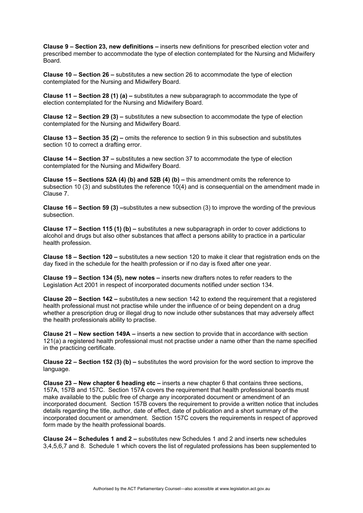**Clause 9 – Section 23, new definitions –** inserts new definitions for prescribed election voter and prescribed member to accommodate the type of election contemplated for the Nursing and Midwifery Board.

**Clause 10 – Section 26 –** substitutes a new section 26 to accommodate the type of election contemplated for the Nursing and Midwifery Board.

**Clause 11 – Section 28 (1) (a) –** substitutes a new subparagraph to accommodate the type of election contemplated for the Nursing and Midwifery Board.

**Clause 12 – Section 29 (3) –** substitutes a new subsection to accommodate the type of election contemplated for the Nursing and Midwifery Board.

**Clause 13 – Section 35 (2) –** omits the reference to section 9 in this subsection and substitutes section 10 to correct a drafting error.

**Clause 14 – Section 37 –** substitutes a new section 37 to accommodate the type of election contemplated for the Nursing and Midwifery Board.

**Clause 15 – Sections 52A (4) (b) and 52B (4) (b) –** this amendment omits the reference to subsection 10 (3) and substitutes the reference 10(4) and is consequential on the amendment made in Clause 7.

**Clause 16 – Section 59 (3) –**substitutes a new subsection (3) to improve the wording of the previous subsection.

**Clause 17 – Section 115 (1) (b) –** substitutes a new subparagraph in order to cover addictions to alcohol and drugs but also other substances that affect a persons ability to practice in a particular health profession.

**Clause 18 – Section 120 –** substitutes a new section 120 to make it clear that registration ends on the day fixed in the schedule for the health profession or if no day is fixed after one year.

**Clause 19 – Section 134 (5), new notes –** inserts new drafters notes to refer readers to the Legislation Act 2001 in respect of incorporated documents notified under section 134.

**Clause 20 – Section 142 –** substitutes a new section 142 to extend the requirement that a registered health professional must not practise while under the influence of or being dependent on a drug whether a prescription drug or illegal drug to now include other substances that may adversely affect the health professionals ability to practise.

**Clause 21 – New section 149A –** inserts a new section to provide that in accordance with section 121(a) a registered health professional must not practise under a name other than the name specified in the practicing certificate.

**Clause 22 – Section 152 (3) (b) –** substitutes the word provision for the word section to improve the language.

**Clause 23 – New chapter 6 heading etc –** inserts a new chapter 6 that contains three sections, 157A, 157B and 157C. Section 157A covers the requirement that health professional boards must make available to the public free of charge any incorporated document or amendment of an incorporated document. Section 157B covers the requirement to provide a written notice that includes details regarding the title, author, date of effect, date of publication and a short summary of the incorporated document or amendment. Section 157C covers the requirements in respect of approved form made by the health professional boards.

**Clause 24 – Schedules 1 and 2 –** substitutes new Schedules 1 and 2 and inserts new schedules 3,4,5,6,7 and 8. Schedule 1 which covers the list of regulated professions has been supplemented to